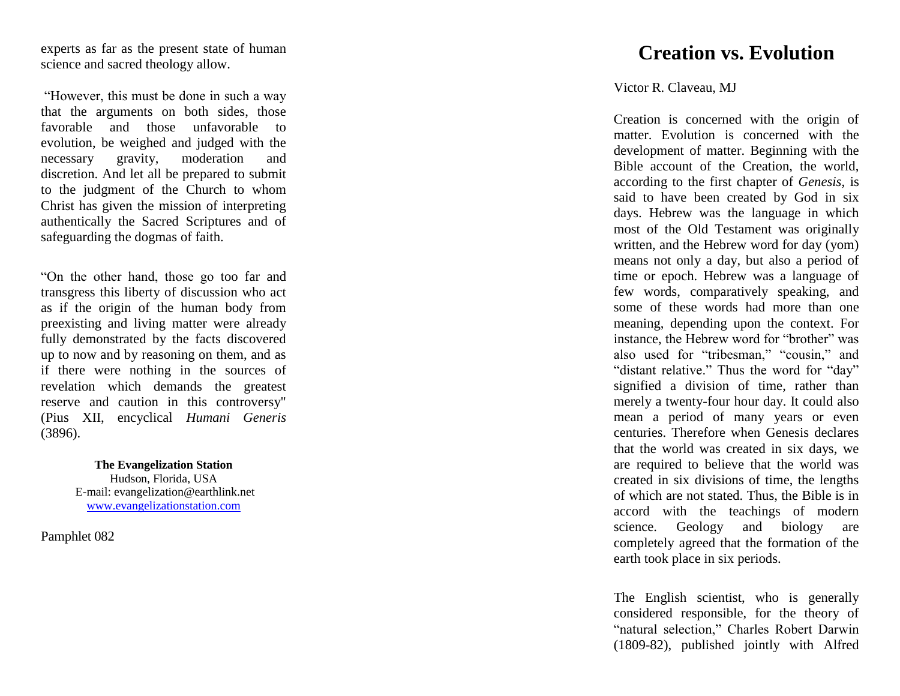experts as far as the present state of human science and sacred theology allow.

"However, this must be done in such a way that the arguments on both sides, those favorable and those unfavorable to evolution, be weighed and judged with the necessary gravity, moderation and discretion. And let all be prepared to submit to the judgment of the Church to whom Christ has given the mission of interpreting authentically the Sacred Scriptures and of safeguarding the dogmas of faith.

"On the other hand, those go too far and transgress this liberty of discussion who act as if the origin of the human body from preexisting and living matter were already fully demonstrated by the facts discovered up to now and by reasoning on them, and as if there were nothing in the sources of revelation which demands the greatest reserve and caution in this controversy" (Pius XII, encyclical *Humani Generis* (3896).

> **The Evangelization Station** Hudson, Florida, USA E -mail: evangelization@earthlink.net [www.evangelizationstation.com](http://www.pjpiisoe.org/)

Pamphlet 0 8  $\overline{2}$ 

## **Creation vs. Evolution**

## Victor R. Claveau, MJ

Creation is concerned with the origin of matter. Evolution is concerned with the development of matter. Beginning with the Bible account of the Creation, the world, according to the first chapter of *Genesis*, is said to have been created by God in six days. Hebrew was the language in which most of the Old Testament was originally written, and the Hebrew word for day (yom) means not only a day, but also a period of time or epoch. Hebrew was a language of few words, comparatively speaking, and some of these words had more than one meaning, depending upon the context. For instance, the Hebrew word for "brother" was also used for "tribesman," "cousin," and "distant relative." Thus the word for "day" signified a division of time, rather than merely a twenty -four hour day. It could also mean a period of many years or even centuries. Therefore when Genesis declares that the world was created in six days, we are required to believe that the world was created in six divisions of time, the lengths of which are not stated. Thus, the Bible is in accord with the teachings of modern science. Geology and biology are completely agreed that the formation of the earth took place in six periods.

The English scientist, who is generally considered responsible, for the theory of "natural selection," Charles Robert Darwin (1809 -82), published jointly with Alfred